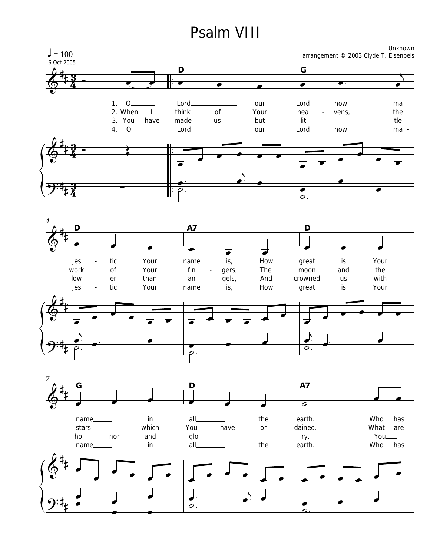## Psalm VIII